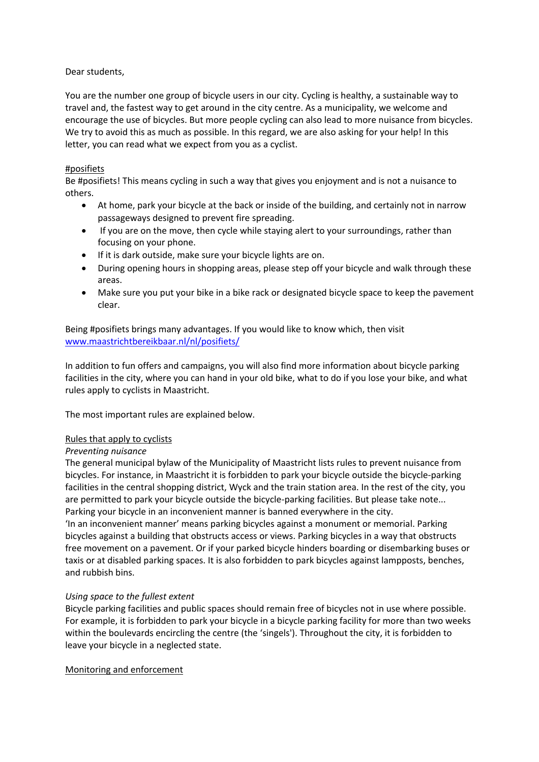## Dear students,

You are the number one group of bicycle users in our city. Cycling is healthy, a sustainable way to travel and, the fastest way to get around in the city centre. As a municipality, we welcome and encourage the use of bicycles. But more people cycling can also lead to more nuisance from bicycles. We try to avoid this as much as possible. In this regard, we are also asking for your help! In this letter, you can read what we expect from you as a cyclist.

## #posifiets

Be #posifiets! This means cycling in such a way that gives you enjoyment and is not a nuisance to others.

- At home, park your bicycle at the back or inside of the building, and certainly not in narrow passageways designed to prevent fire spreading.
- If you are on the move, then cycle while staying alert to your surroundings, rather than focusing on your phone.
- If it is dark outside, make sure your bicycle lights are on.
- During opening hours in shopping areas, please step off your bicycle and walk through these areas.
- Make sure you put your bike in a bike rack or designated bicycle space to keep the pavement clear.

Being #posifiets brings many advantages. If you would like to know which, then visit www.maastrichtbereikbaar.nl/nl/posifiets/

In addition to fun offers and campaigns, you will also find more information about bicycle parking facilities in the city, where you can hand in your old bike, what to do if you lose your bike, and what rules apply to cyclists in Maastricht.

The most important rules are explained below.

#### Rules that apply to cyclists

#### *Preventing nuisance*

The general municipal bylaw of the Municipality of Maastricht lists rules to prevent nuisance from bicycles. For instance, in Maastricht it is forbidden to park your bicycle outside the bicycle-parking facilities in the central shopping district, Wyck and the train station area. In the rest of the city, you are permitted to park your bicycle outside the bicycle-parking facilities. But please take note... Parking your bicycle in an inconvenient manner is banned everywhere in the city.

'In an inconvenient manner' means parking bicycles against a monument or memorial. Parking bicycles against a building that obstructs access or views. Parking bicycles in a way that obstructs free movement on a pavement. Or if your parked bicycle hinders boarding or disembarking buses or taxis or at disabled parking spaces. It is also forbidden to park bicycles against lampposts, benches, and rubbish bins.

# *Using space to the fullest extent*

Bicycle parking facilities and public spaces should remain free of bicycles not in use where possible. For example, it is forbidden to park your bicycle in a bicycle parking facility for more than two weeks within the boulevards encircling the centre (the 'singels'). Throughout the city, it is forbidden to leave your bicycle in a neglected state.

#### Monitoring and enforcement